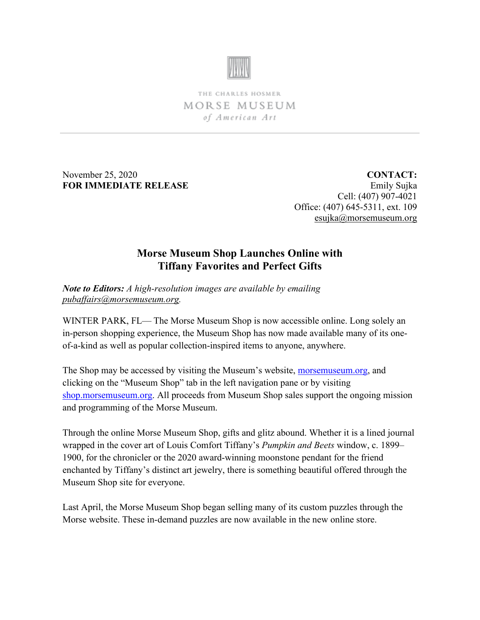

THE CHARLES HOSMER MORSE MUSEUM of American Art

November 25, 2020 **FOR IMMEDIATE RELEASE**

**CONTACT:** Emily Sujka Cell: (407) 907-4021 Office: (407) 645-5311, ext. 109 [esujka@morsemuseum.org](mailto:esujka@morsemuseum.org)

## **Morse Museum Shop Launches Online with Tiffany Favorites and Perfect Gifts**

*Note to Editors: A high-resolution images are available by emailing [pubaffairs@morsemuseum.org.](mailto:pubaffairs@morsemuseum.org)*

WINTER PARK, FL— The Morse Museum Shop is now accessible online. Long solely an in-person shopping experience, the Museum Shop has now made available many of its oneof-a-kind as well as popular collection-inspired items to anyone, anywhere.

The Shop may be accessed by visiting the Museum's website, [morsemuseum.org,](https://www.morsemuseum.org/) and clicking on the "Museum Shop" tab in the left navigation pane or by visiting [shop.morsemuseum.org.](https://shop.morsemuseum.org/) All proceeds from Museum Shop sales support the ongoing mission and programming of the Morse Museum.

Through the online Morse Museum Shop, gifts and glitz abound. Whether it is a lined journal wrapped in the cover art of Louis Comfort Tiffany's *Pumpkin and Beets* window, c. 1899– 1900, for the chronicler or the 2020 award-winning moonstone pendant for the friend enchanted by Tiffany's distinct art jewelry, there is something beautiful offered through the Museum Shop site for everyone.

Last April, the Morse Museum Shop began selling many of its custom puzzles through the Morse website. These in-demand puzzles are now available in the new online store.